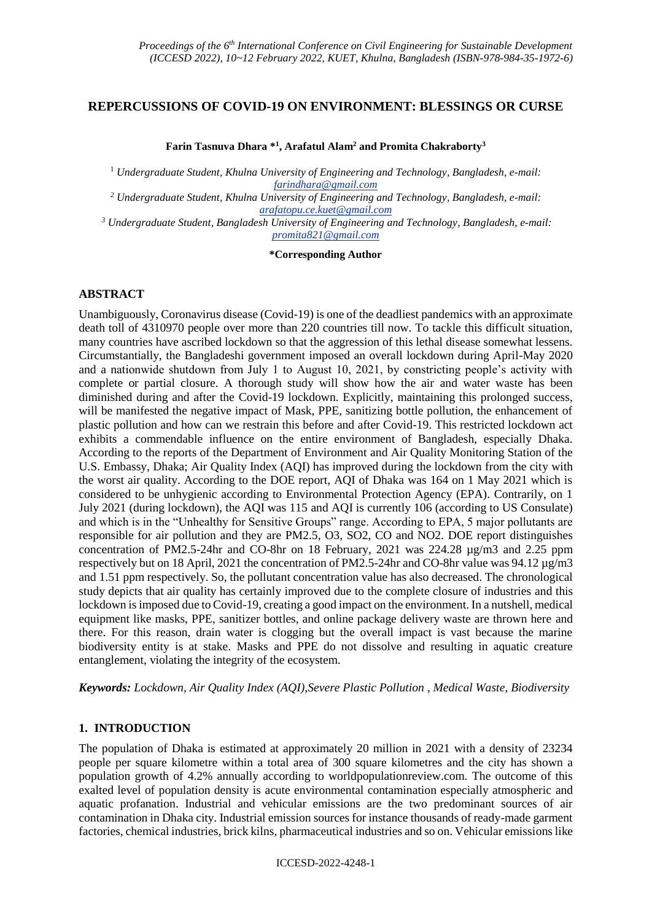## **REPERCUSSIONS OF COVID-19 ON ENVIRONMENT: BLESSINGS OR CURSE**

#### **Farin Tasnuva Dhara \* 1 , Arafatul Alam<sup>2</sup> and Promita Chakraborty<sup>3</sup>**

<sup>1</sup> *Undergraduate Student, Khulna University of Engineering and Technology, Bangladesh, e-mail: farindhara@gmail.com <sup>2</sup> Undergraduate Student, Khulna University of Engineering and Technology, Bangladesh, e-mail:* 

*arafatopu.ce.kuet@gmail.com*

*<sup>3</sup> Undergraduate Student, Bangladesh University of Engineering and Technology, Bangladesh, e-mail: promita821@gmail.com*

#### **\*Corresponding Author**

#### **ABSTRACT**

Unambiguously, Coronavirus disease (Covid-19) is one of the deadliest pandemics with an approximate death toll of 4310970 people over more than 220 countries till now. To tackle this difficult situation, many countries have ascribed lockdown so that the aggression of this lethal disease somewhat lessens. Circumstantially, the Bangladeshi government imposed an overall lockdown during April-May 2020 and a nationwide shutdown from July 1 to August 10, 2021, by constricting people's activity with complete or partial closure. A thorough study will show how the air and water waste has been diminished during and after the Covid-19 lockdown. Explicitly, maintaining this prolonged success, will be manifested the negative impact of Mask, PPE, sanitizing bottle pollution, the enhancement of plastic pollution and how can we restrain this before and after Covid-19. This restricted lockdown act exhibits a commendable influence on the entire environment of Bangladesh, especially Dhaka. According to the reports of the Department of Environment and Air Quality Monitoring Station of the U.S. Embassy, Dhaka; Air Quality Index (AQI) has improved during the lockdown from the city with the worst air quality. According to the DOE report, AQI of Dhaka was 164 on 1 May 2021 which is considered to be unhygienic according to Environmental Protection Agency (EPA). Contrarily, on 1 July 2021 (during lockdown), the AQI was 115 and AQI is currently 106 (according to US Consulate) and which is in the "Unhealthy for Sensitive Groups" range. According to EPA, 5 major pollutants are responsible for air pollution and they are PM2.5, O3, SO2, CO and NO2. DOE report distinguishes concentration of PM2.5-24hr and CO-8hr on 18 February, 2021 was 224.28 µg/m3 and 2.25 ppm respectively but on 18 April, 2021 the concentration of PM2.5-24hr and CO-8hr value was  $94.12 \mu g/m3$ and 1.51 ppm respectively. So, the pollutant concentration value has also decreased. The chronological study depicts that air quality has certainly improved due to the complete closure of industries and this lockdown is imposed due to Covid-19, creating a good impact on the environment. In a nutshell, medical equipment like masks, PPE, sanitizer bottles, and online package delivery waste are thrown here and there. For this reason, drain water is clogging but the overall impact is vast because the marine biodiversity entity is at stake. Masks and PPE do not dissolve and resulting in aquatic creature entanglement, violating the integrity of the ecosystem.

*Keywords: Lockdown, Air Quality Index (AQI),Severe Plastic Pollution , Medical Waste, Biodiversity*

### **1. INTRODUCTION**

The population of Dhaka is estimated at approximately 20 million in 2021 with a density of 23234 people per square kilometre within a total area of 300 square kilometres and the city has shown a population growth of 4.2% annually according to worldpopulationreview.com. The outcome of this exalted level of population density is acute environmental contamination especially atmospheric and aquatic profanation. Industrial and vehicular emissions are the two predominant sources of air contamination in Dhaka city. Industrial emission sources for instance thousands of ready-made garment factories, chemical industries, brick kilns, pharmaceutical industries and so on. Vehicular emissions like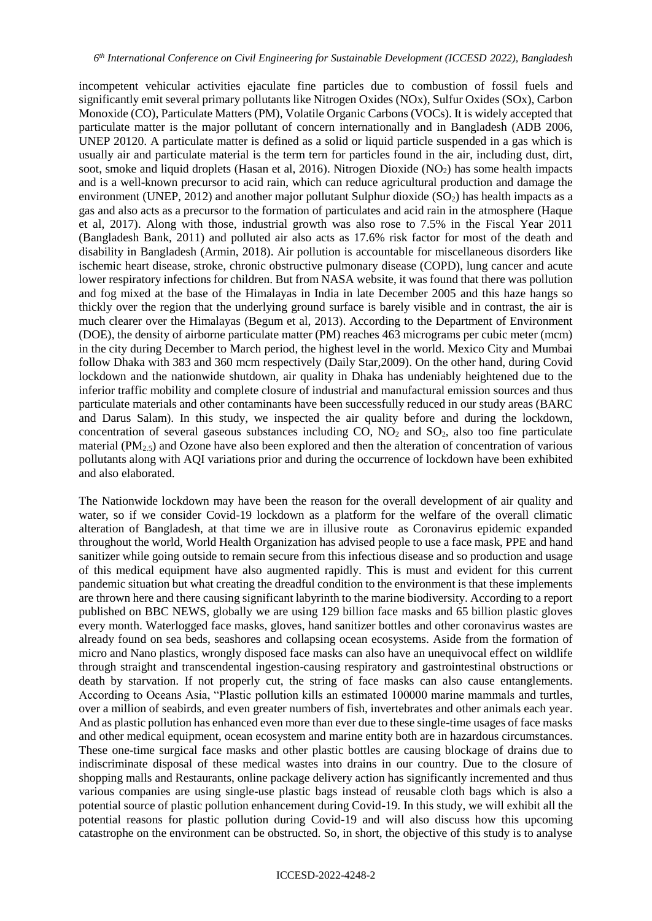incompetent vehicular activities ejaculate fine particles due to combustion of fossil fuels and significantly emit several primary pollutants like Nitrogen Oxides (NOx), Sulfur Oxides (SOx), Carbon Monoxide (CO), Particulate Matters (PM), Volatile Organic Carbons (VOCs). It is widely accepted that particulate matter is the major pollutant of concern internationally and in Bangladesh (ADB 2006, UNEP 20120. A particulate matter is defined as a solid or liquid particle suspended in a gas which is usually air and particulate material is the term tern for particles found in the air, including dust, dirt, soot, smoke and liquid droplets (Hasan et al, 2016). Nitrogen Dioxide ( $NO<sub>2</sub>$ ) has some health impacts and is a well-known precursor to acid rain, which can reduce agricultural production and damage the environment (UNEP, 2012) and another major pollutant Sulphur dioxide  $(SO<sub>2</sub>)$  has health impacts as a gas and also acts as a precursor to the formation of particulates and acid rain in the atmosphere (Haque et al, 2017). Along with those, industrial growth was also rose to 7.5% in the Fiscal Year 2011 (Bangladesh Bank, 2011) and polluted air also acts as 17.6% risk factor for most of the death and disability in Bangladesh (Armin, 2018). Air pollution is accountable for miscellaneous disorders like ischemic heart disease, stroke, chronic obstructive pulmonary disease (COPD), lung cancer and acute lower respiratory infections for children. But from NASA website, it was found that there was pollution and fog mixed at the base of the Himalayas in India in late December 2005 and this haze hangs so thickly over the region that the underlying ground surface is barely visible and in contrast, the air is much clearer over the Himalayas (Begum et al, 2013). According to the Department of Environment (DOE), the density of airborne particulate matter (PM) reaches 463 micrograms per cubic meter (mcm) in the city during December to March period, the highest level in the world. Mexico City and Mumbai follow Dhaka with 383 and 360 mcm respectively (Daily Star,2009). On the other hand, during Covid lockdown and the nationwide shutdown, air quality in Dhaka has undeniably heightened due to the inferior traffic mobility and complete closure of industrial and manufactural emission sources and thus particulate materials and other contaminants have been successfully reduced in our study areas (BARC and Darus Salam). In this study, we inspected the air quality before and during the lockdown, concentration of several gaseous substances including  $CO$ ,  $NO<sub>2</sub>$  and  $SO<sub>2</sub>$ , also too fine particulate material  $(PM<sub>2.5</sub>)$  and Ozone have also been explored and then the alteration of concentration of various pollutants along with AQI variations prior and during the occurrence of lockdown have been exhibited and also elaborated.

The Nationwide lockdown may have been the reason for the overall development of air quality and water, so if we consider Covid-19 lockdown as a platform for the welfare of the overall climatic alteration of Bangladesh, at that time we are in illusive route as Coronavirus epidemic expanded throughout the world, World Health Organization has advised people to use a face mask, PPE and hand sanitizer while going outside to remain secure from this infectious disease and so production and usage of this medical equipment have also augmented rapidly. This is must and evident for this current pandemic situation but what creating the dreadful condition to the environment is that these implements are thrown here and there causing significant labyrinth to the marine biodiversity. According to a report published on BBC NEWS, globally we are using 129 billion face masks and 65 billion plastic gloves every month. Waterlogged face masks, gloves, hand sanitizer bottles and other coronavirus wastes are already found on sea beds, seashores and collapsing ocean ecosystems. Aside from the formation of micro and Nano plastics, wrongly disposed face masks can also have an unequivocal effect on wildlife through straight and transcendental ingestion-causing respiratory and gastrointestinal obstructions or death by starvation. If not properly cut, the string of face masks can also cause entanglements. According to Oceans Asia, "Plastic pollution kills an estimated 100000 marine mammals and turtles, over a million of seabirds, and even greater numbers of fish, invertebrates and other animals each year. And as plastic pollution has enhanced even more than ever due to these single-time usages of face masks and other medical equipment, ocean ecosystem and marine entity both are in hazardous circumstances. These one-time surgical face masks and other plastic bottles are causing blockage of drains due to indiscriminate disposal of these medical wastes into drains in our country. Due to the closure of shopping malls and Restaurants, online package delivery action has significantly incremented and thus various companies are using single-use plastic bags instead of reusable cloth bags which is also a potential source of plastic pollution enhancement during Covid-19. In this study, we will exhibit all the potential reasons for plastic pollution during Covid-19 and will also discuss how this upcoming catastrophe on the environment can be obstructed. So, in short, the objective of this study is to analyse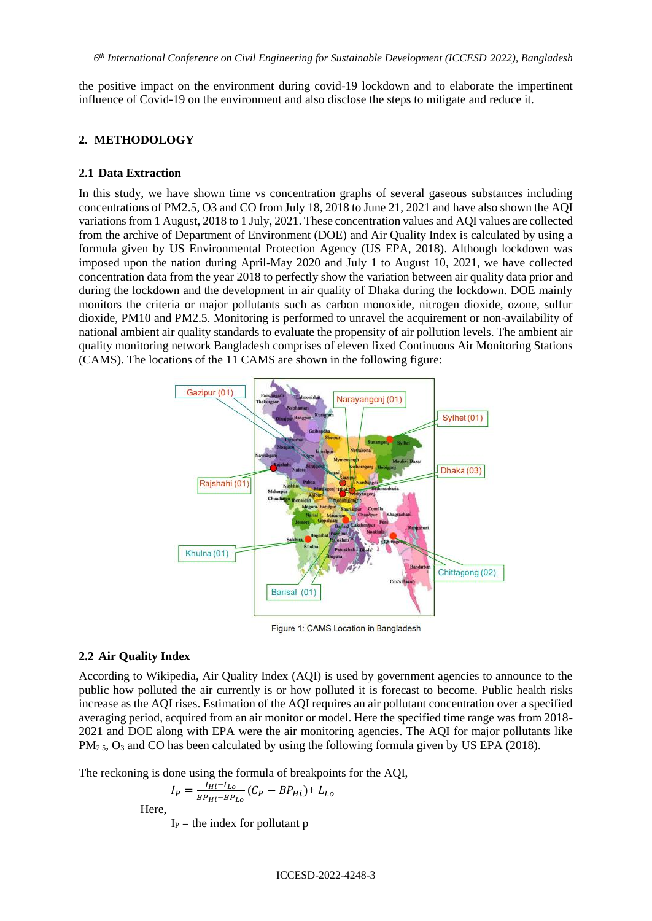the positive impact on the environment during covid-19 lockdown and to elaborate the impertinent influence of Covid-19 on the environment and also disclose the steps to mitigate and reduce it.

## **2. METHODOLOGY**

### **2.1 Data Extraction**

In this study, we have shown time vs concentration graphs of several gaseous substances including concentrations of PM2.5, O3 and CO from July 18, 2018 to June 21, 2021 and have also shown the AQI variations from 1 August, 2018 to 1 July, 2021. These concentration values and AQI values are collected from the archive of Department of Environment (DOE) and Air Quality Index is calculated by using a formula given by US Environmental Protection Agency (US EPA, 2018). Although lockdown was imposed upon the nation during April-May 2020 and July 1 to August 10, 2021, we have collected concentration data from the year 2018 to perfectly show the variation between air quality data prior and during the lockdown and the development in air quality of Dhaka during the lockdown. DOE mainly monitors the criteria or major pollutants such as carbon monoxide, nitrogen dioxide, ozone, sulfur dioxide, PM10 and PM2.5. Monitoring is performed to unravel the acquirement or non-availability of national ambient air quality standards to evaluate the propensity of air pollution levels. The ambient air quality monitoring network Bangladesh comprises of eleven fixed Continuous Air Monitoring Stations (CAMS). The locations of the 11 CAMS are shown in the following figure:



Figure 1: CAMS Location in Bangladesh

### **2.2 Air Quality Index**

According to Wikipedia, Air Quality Index (AQI) is used by government agencies to announce to the public how polluted the air currently is or how polluted it is forecast to become. Public health risks increase as the AQI rises. Estimation of the AQI requires an air pollutant concentration over a specified averaging period, acquired from an air monitor or model. Here the specified time range was from 2018- 2021 and DOE along with EPA were the air monitoring agencies. The AQI for major pollutants like PM<sub>2.5</sub>, O<sub>3</sub> and CO has been calculated by using the following formula given by US EPA (2018).

The reckoning is done using the formula of breakpoints for the AQI,

$$
I_P = \frac{I_{Hi} - I_{Lo}}{BP_{Hi} - BP_{Lo}} (C_P - BP_{Hi}) + L_{Lo}
$$

Here,

 $I_P$  = the index for pollutant p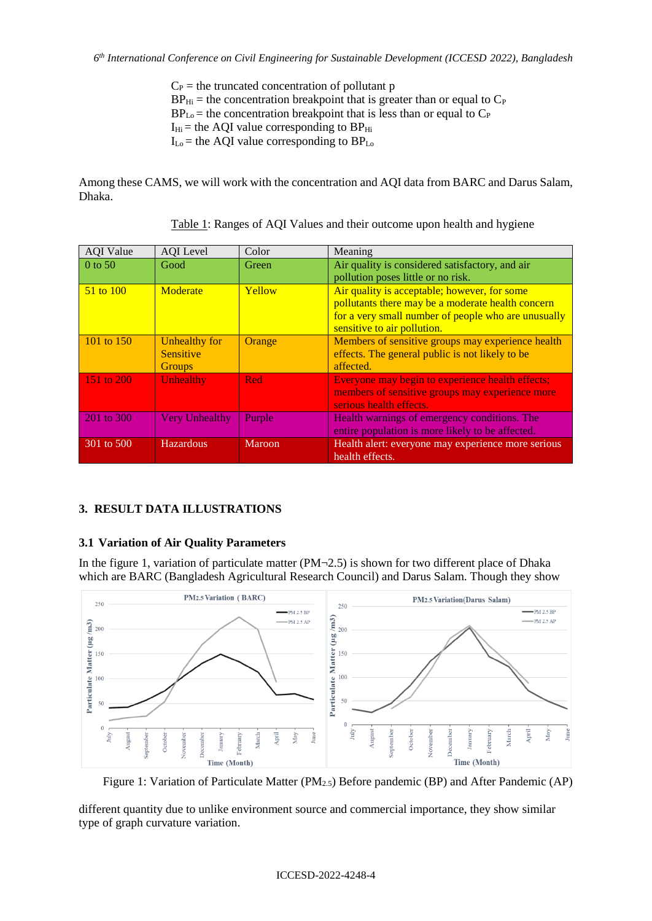$C_P$  = the truncated concentration of pollutant p  $BP_{Hi}$  = the concentration breakpoint that is greater than or equal to  $C_P$  $BP<sub>Lo</sub>$  = the concentration breakpoint that is less than or equal to  $C<sub>P</sub>$  $I_{Hi}$  = the AQI value corresponding to  $BP_{Hi}$  $I_{Lo}$  = the AQI value corresponding to  $BP_{Lo}$ 

Among these CAMS, we will work with the concentration and AQI data from BARC and Darus Salam, Dhaka.

| <b>AQI</b> Value     | AQI Level                                                 | Color      | Meaning                                                                                                                                                                                 |
|----------------------|-----------------------------------------------------------|------------|-----------------------------------------------------------------------------------------------------------------------------------------------------------------------------------------|
| $0$ to 50            | Good                                                      | Green      | Air quality is considered satisfactory, and air<br>pollution poses little or no risk.                                                                                                   |
| $51 \text{ to } 100$ | Moderate                                                  | Yellow     | Air quality is acceptable; however, for some<br>pollutants there may be a moderate health concern<br>for a very small number of people who are unusually<br>sensitive to air pollution. |
| 101 to 150           | <b>Unhealthy for</b><br><b>Sensitive</b><br><b>Groups</b> | Orange     | Members of sensitive groups may experience health<br>effects. The general public is not likely to be<br>affected.                                                                       |
| 151 to 200           | <b>Unhealthy</b>                                          | <b>Red</b> | Everyone may begin to experience health effects;<br>members of sensitive groups may experience more<br>serious health effects.                                                          |
| 201 to 300           | <b>Very Unhealthy</b>                                     | Purple     | Health warnings of emergency conditions. The<br>entire population is more likely to be affected.                                                                                        |
| 301 to 500           | <b>Hazardous</b>                                          | Maroon     | Health alert: everyone may experience more serious<br>health effects.                                                                                                                   |

Table 1: Ranges of AQI Values and their outcome upon health and hygiene

# **3. RESULT DATA ILLUSTRATIONS**

# **3.1 Variation of Air Quality Parameters**

In the figure 1, variation of particulate matter  $(PM\neg 2.5)$  is shown for two different place of Dhaka which are BARC (Bangladesh Agricultural Research Council) and Darus Salam. Though they show



Figure 1: Variation of Particulate Matter (PM<sub>2.5</sub>) Before pandemic (BP) and After Pandemic (AP)

different quantity due to unlike environment source and commercial importance, they show similar type of graph curvature variation.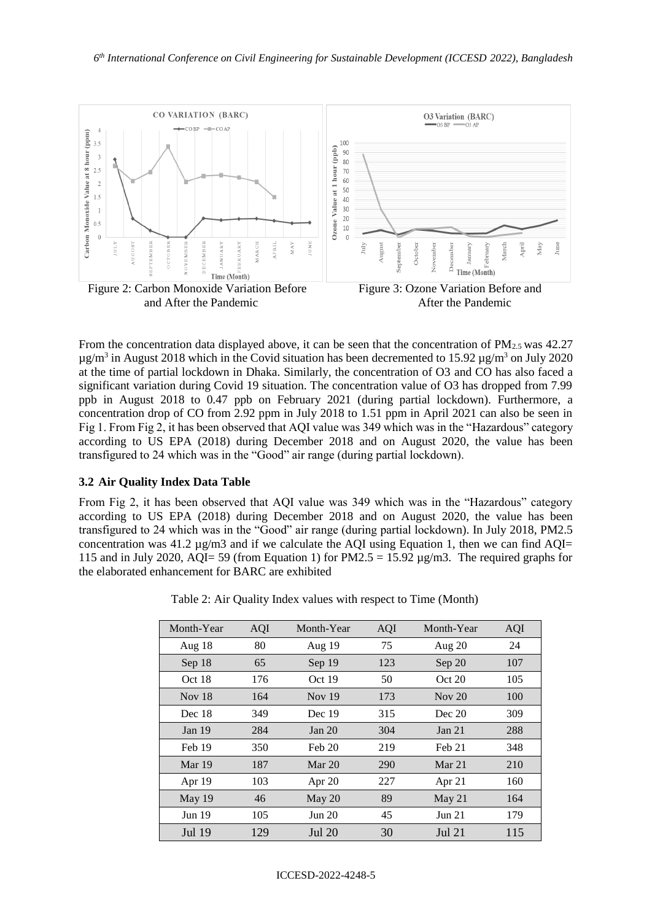

From the concentration data displayed above, it can be seen that the concentration of  $PM_{2.5}$  was 42.27  $\mu$ g/m<sup>3</sup> in August 2018 which in the Covid situation has been decremented to 15.92  $\mu$ g/m<sup>3</sup> on July 2020 at the time of partial lockdown in Dhaka. Similarly, the concentration of O3 and CO has also faced a significant variation during Covid 19 situation. The concentration value of O3 has dropped from 7.99 ppb in August 2018 to 0.47 ppb on February 2021 (during partial lockdown). Furthermore, a concentration drop of CO from 2.92 ppm in July 2018 to 1.51 ppm in April 2021 can also be seen in Fig 1. From Fig 2, it has been observed that AQI value was 349 which was in the "Hazardous" category according to US EPA (2018) during December 2018 and on August 2020, the value has been transfigured to 24 which was in the "Good" air range (during partial lockdown).

### **3.2 Air Quality Index Data Table**

From Fig 2, it has been observed that AQI value was 349 which was in the "Hazardous" category according to US EPA (2018) during December 2018 and on August 2020, the value has been transfigured to 24 which was in the "Good" air range (during partial lockdown). In July 2018, PM2.5 concentration was 41.2  $\mu$ g/m3 and if we calculate the AQI using Equation 1, then we can find AQI= 115 and in July 2020, AQI= 59 (from Equation 1) for PM2.5 = 15.92  $\mu$ g/m3. The required graphs for the elaborated enhancement for BARC are exhibited

| Month-Year | <b>AQI</b> | Month-Year | AQI | Month-Year    | AQI |
|------------|------------|------------|-----|---------------|-----|
| Aug 18     | 80         | Aug $19$   | 75  | Aug $20$      | 24  |
| Sep 18     | 65         | Sep 19     | 123 | Sep 20        | 107 |
| Oct 18     | 176        | Oct $19$   | 50  | Oct 20        | 105 |
| Nov $18$   | 164        | Nov $19$   | 173 | Nov $20$      | 100 |
| Dec 18     | 349        | Dec 19     | 315 | Dec 20        | 309 |
| Jan $19$   | 284        | Jan 20     | 304 | Jan 21        | 288 |
| Feb 19     | 350        | Feb 20     | 219 | Feb 21        | 348 |
| Mar 19     | 187        | Mar $20$   | 290 | Mar 21        | 210 |
| Apr 19     | 103        | Apr $20$   | 227 | Apr 21        | 160 |
| May 19     | 46         | May $20$   | 89  | May 21        | 164 |
| Jun $19$   | 105        | Jun 20     | 45  | Jun 21        | 179 |
| Jul 19     | 129        | Jul 20     | 30  | <b>Jul 21</b> | 115 |

Table 2: Air Quality Index values with respect to Time (Month)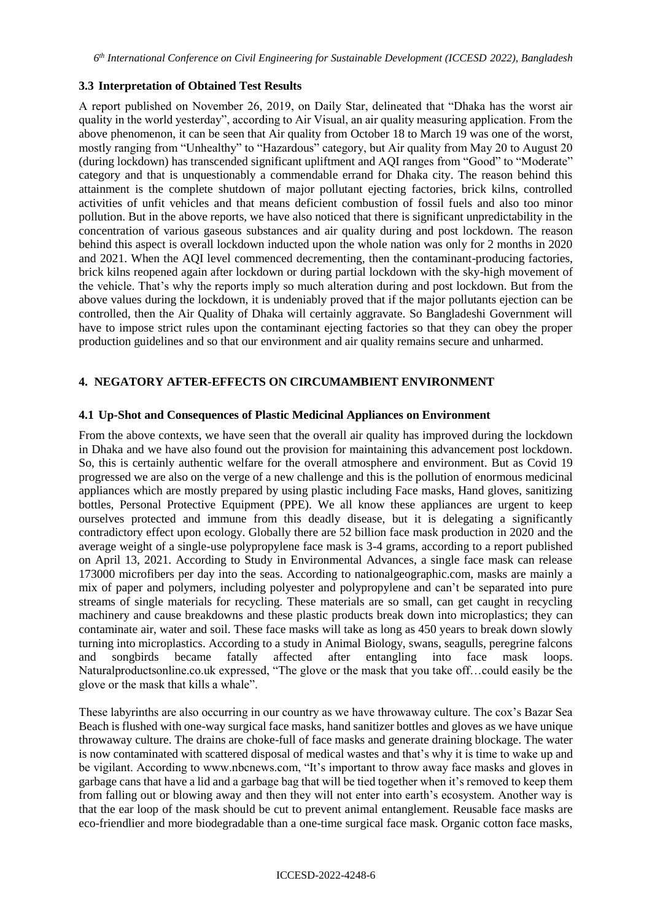### **3.3 Interpretation of Obtained Test Results**

A report published on November 26, 2019, on Daily Star, delineated that "Dhaka has the worst air quality in the world yesterday", according to Air Visual, an air quality measuring application. From the above phenomenon, it can be seen that Air quality from October 18 to March 19 was one of the worst, mostly ranging from "Unhealthy" to "Hazardous" category, but Air quality from May 20 to August 20 (during lockdown) has transcended significant upliftment and AQI ranges from "Good" to "Moderate" category and that is unquestionably a commendable errand for Dhaka city. The reason behind this attainment is the complete shutdown of major pollutant ejecting factories, brick kilns, controlled activities of unfit vehicles and that means deficient combustion of fossil fuels and also too minor pollution. But in the above reports, we have also noticed that there is significant unpredictability in the concentration of various gaseous substances and air quality during and post lockdown. The reason behind this aspect is overall lockdown inducted upon the whole nation was only for 2 months in 2020 and 2021. When the AQI level commenced decrementing, then the contaminant-producing factories, brick kilns reopened again after lockdown or during partial lockdown with the sky-high movement of the vehicle. That's why the reports imply so much alteration during and post lockdown. But from the above values during the lockdown, it is undeniably proved that if the major pollutants ejection can be controlled, then the Air Quality of Dhaka will certainly aggravate. So Bangladeshi Government will have to impose strict rules upon the contaminant ejecting factories so that they can obey the proper production guidelines and so that our environment and air quality remains secure and unharmed.

# **4. NEGATORY AFTER-EFFECTS ON CIRCUMAMBIENT ENVIRONMENT**

#### **4.1 Up-Shot and Consequences of Plastic Medicinal Appliances on Environment**

From the above contexts, we have seen that the overall air quality has improved during the lockdown in Dhaka and we have also found out the provision for maintaining this advancement post lockdown. So, this is certainly authentic welfare for the overall atmosphere and environment. But as Covid 19 progressed we are also on the verge of a new challenge and this is the pollution of enormous medicinal appliances which are mostly prepared by using plastic including Face masks, Hand gloves, sanitizing bottles, Personal Protective Equipment (PPE). We all know these appliances are urgent to keep ourselves protected and immune from this deadly disease, but it is delegating a significantly contradictory effect upon ecology. Globally there are 52 billion face mask production in 2020 and the average weight of a single-use polypropylene face mask is 3-4 grams, according to a report published on April 13, 2021. According to Study in Environmental Advances, a single face mask can release 173000 microfibers per day into the seas. According to nationalgeographic.com, masks are mainly a mix of paper and polymers, including polyester and polypropylene and can't be separated into pure streams of single materials for recycling. These materials are so small, can get caught in recycling machinery and cause breakdowns and these plastic products break down into microplastics; they can contaminate air, water and soil. These face masks will take as long as 450 years to break down slowly turning into microplastics. According to a study in Animal Biology, swans, seagulls, peregrine falcons and songbirds became fatally affected after entangling into face mask loops. Naturalproductsonline.co.uk expressed, "The glove or the mask that you take off…could easily be the glove or the mask that kills a whale".

These labyrinths are also occurring in our country as we have throwaway culture. The cox's Bazar Sea Beach is flushed with one-way surgical face masks, hand sanitizer bottles and gloves as we have unique throwaway culture. The drains are choke-full of face masks and generate draining blockage. The water is now contaminated with scattered disposal of medical wastes and that's why it is time to wake up and be vigilant. According to www.nbcnews.com, "It's important to throw away face masks and gloves in garbage cans that have a lid and a garbage bag that will be tied together when it's removed to keep them from falling out or blowing away and then they will not enter into earth's ecosystem. Another way is that the ear loop of the mask should be cut to prevent animal entanglement. Reusable face masks are eco-friendlier and more biodegradable than a one-time surgical face mask. Organic cotton face masks,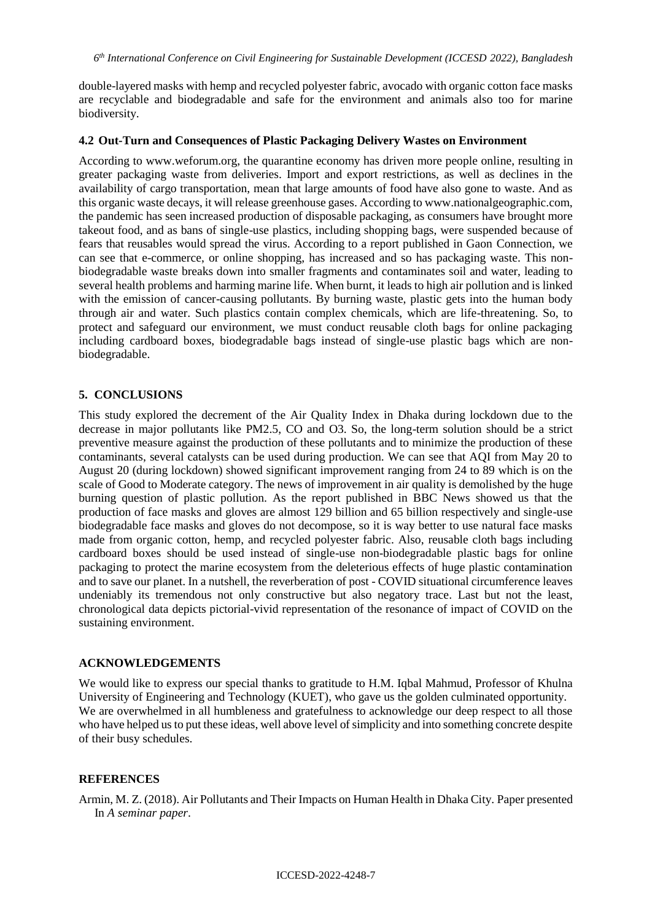double-layered masks with hemp and recycled polyester fabric, avocado with organic cotton face masks are recyclable and biodegradable and safe for the environment and animals also too for marine biodiversity.

### **4.2 Out-Turn and Consequences of Plastic Packaging Delivery Wastes on Environment**

According to www.weforum.org, the quarantine economy has driven more people online, resulting in greater packaging waste from deliveries. Import and export restrictions, as well as declines in the availability of cargo transportation, mean that large amounts of food have also gone to waste. And as this organic waste decays, it will release greenhouse gases. According to www.nationalgeographic.com, the pandemic has seen increased production of disposable packaging, as consumers have brought more takeout food, and as bans of single-use plastics, including shopping bags, were suspended because of fears that reusables would spread the virus. According to a report published in Gaon Connection, we can see that e-commerce, or online shopping, has increased and so has packaging waste. This nonbiodegradable waste breaks down into smaller fragments and contaminates soil and water, leading to several health problems and harming marine life. When burnt, it leads to high air pollution and is linked with the emission of cancer-causing pollutants. By burning waste, plastic gets into the human body through air and water. Such plastics contain complex chemicals, which are life-threatening. So, to protect and safeguard our environment, we must conduct reusable cloth bags for online packaging including cardboard boxes, biodegradable bags instead of single-use plastic bags which are nonbiodegradable.

### **5. CONCLUSIONS**

This study explored the decrement of the Air Quality Index in Dhaka during lockdown due to the decrease in major pollutants like PM2.5, CO and O3. So, the long-term solution should be a strict preventive measure against the production of these pollutants and to minimize the production of these contaminants, several catalysts can be used during production. We can see that AQI from May 20 to August 20 (during lockdown) showed significant improvement ranging from 24 to 89 which is on the scale of Good to Moderate category. The news of improvement in air quality is demolished by the huge burning question of plastic pollution. As the report published in BBC News showed us that the production of face masks and gloves are almost 129 billion and 65 billion respectively and single-use biodegradable face masks and gloves do not decompose, so it is way better to use natural face masks made from organic cotton, hemp, and recycled polyester fabric. Also, reusable cloth bags including cardboard boxes should be used instead of single-use non-biodegradable plastic bags for online packaging to protect the marine ecosystem from the deleterious effects of huge plastic contamination and to save our planet. In a nutshell, the reverberation of post - COVID situational circumference leaves undeniably its tremendous not only constructive but also negatory trace. Last but not the least, chronological data depicts pictorial-vivid representation of the resonance of impact of COVID on the sustaining environment.

### **ACKNOWLEDGEMENTS**

We would like to express our special thanks to gratitude to H.M. Iqbal Mahmud, Professor of Khulna University of Engineering and Technology (KUET), who gave us the golden culminated opportunity. We are overwhelmed in all humbleness and gratefulness to acknowledge our deep respect to all those who have helped us to put these ideas, well above level of simplicity and into something concrete despite of their busy schedules.

### **REFERENCES**

Armin, M. Z. (2018). Air Pollutants and Their Impacts on Human Health in Dhaka City. Paper presented In *A seminar paper*.